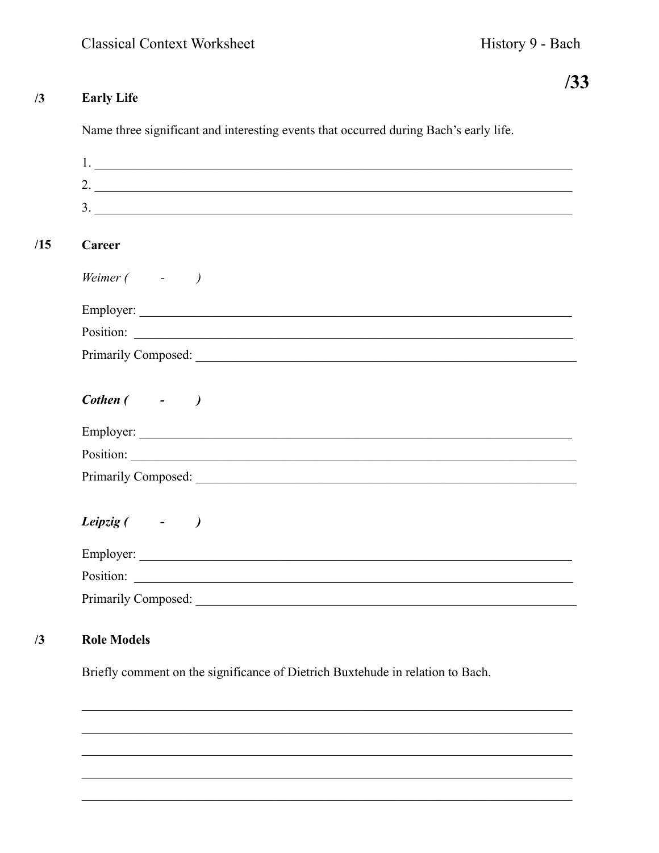History 9 - Bach

## $/3$ **Early Life**

 $/15$ 

Name three significant and interesting events that occurred during Bach's early life.

|                                  | $1.$ $\overline{\phantom{a}}$ |
|----------------------------------|-------------------------------|
|                                  | 2. $\overline{\phantom{a}}$   |
|                                  | 3.                            |
| Career                           |                               |
| Weimer $($ - $)$                 |                               |
|                                  |                               |
|                                  |                               |
|                                  |                               |
| $\textit{Cother}$ ( $\qquad$ - ) |                               |
|                                  |                               |
|                                  | Position:                     |
|                                  |                               |
| Leipzig ( -                      |                               |
|                                  |                               |
|                                  |                               |
|                                  |                               |

## **Role Models**  $/3$

Briefly comment on the significance of Dietrich Buxtehude in relation to Bach.